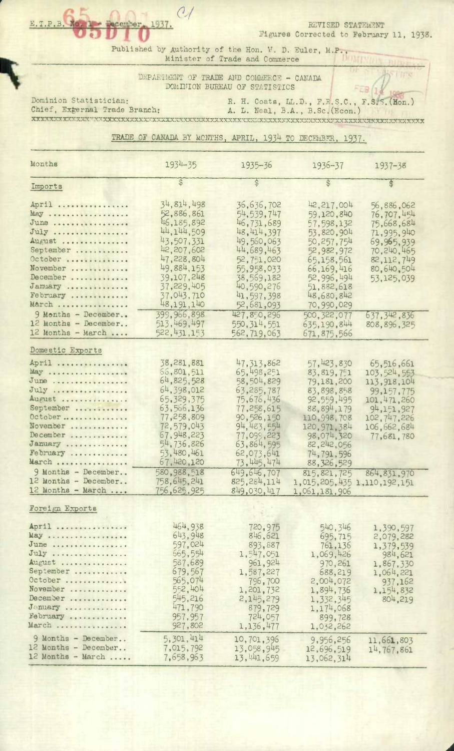REVISED STATEMENT Figures Corrected to February 11, 1938.

-28

Published by Authority of the Hon. W. D. Euler, M.P., Minister of Trade and Commerce

 $C/$ 

1937.

DEPARTMENT OF TRADE AND COMMERCE - CANADA DOMINION BUREAU OF STATISTICS

Dominion Statistician: Chief, Exgernal Trade Branch:

lucember.

 $E.T.P.B$ 

R. H. Coats, LL.D., F.R.S.C., F.S.S. (Hon.)<br>A. L. Neal, B.A., B.Sc. (Econ.)

TRADE OF CANADA BY MONTHS, APRIL, 1934 TO DECEMBER, 1937.

| Months                                      | 1934-35                        | 1935-36                    | 1936-37                      | $1937 - 38$                |
|---------------------------------------------|--------------------------------|----------------------------|------------------------------|----------------------------|
| Imports                                     | $\mathbb{S}$                   | \$                         | \$                           | \$.                        |
| April<br>May                                | 34, 814, 498<br>52,886,861     | 36,636,702<br>54, 539, 747 | 42, 217, 004<br>59,120,840   | 56,886,062<br>76, 707, 454 |
| June                                        | 46,185,892                     | 46,731,689                 | 57, 598, 132                 | 75,668,684                 |
| July                                        | 44, 144, 509                   | 48, 414, 397               | 53,820,904                   | 71,995,940                 |
| August                                      | 43,507,331                     | 49,560,063                 | 50, 257, 754                 | 69,965,939                 |
| September                                   | 42, 207, 602                   | 44,689,463                 | 52,982,972                   | 70,240,465                 |
| October                                     | 47,228,804                     | 52,751,020                 | 65,158,561                   | 82, 112, 749               |
| November                                    | 49,884,153                     | 55,958,033                 | 66,169,416                   | 80,640,504                 |
| December                                    | 39,107,248                     | 38,569,182                 | 52,996,494                   | 53,125,039                 |
| Jamuary                                     | 37,229,405                     | 40,590,276                 | 51,882,618                   |                            |
| February                                    | 37,043,710                     | 41, 597, 398               | 48,680,842                   |                            |
| March                                       | 48,191,140                     | 52,681,093                 | 70,990,029                   |                            |
| 9 Months - December<br>12 Months - December | 399, 966, 898<br>513, 469, 497 | 427,850,296                | 500, 322, 077                | 637, 342, 836              |
| 12 Months - March                           | 522, 431, 153                  | 550, 314, 551              | 635.190.844                  | 808, 896, 325              |
|                                             |                                | 562, 719, 063              | 671, 875, 566                |                            |
| Domestic Exports                            |                                |                            |                              |                            |
| April                                       | 38,281,881                     | 47, 313, 862               | 57,423,830                   | 65,516,661                 |
| May                                         | 55,801,511                     | 65, 498, 251               | 83, 819, 751                 | 103, 524, 553              |
| June                                        | 64,825,528                     | 58,504,829                 | 79,181,200                   | 113,918,104                |
| July                                        | 64, 398, 012                   | 63,285,787                 | 83, 898, 858                 | 99,157,775                 |
| August                                      | 65,329,375                     | 75,676,436                 | 92, 559, 495                 | 101, 471, 260              |
| September                                   | 63,566,136                     | 77,258,615                 | 88, 894, 179                 | 94,151,927                 |
| October<br>November                         | 77, 258, 809<br>72,579,043     | 90,526,150<br>94, 483, 554 | 110,998,708<br>120, 971, 384 | 102, 747, 226              |
| December                                    | 67, 948, 223                   | 77,099,223                 | 98,074,320                   | 106,662,684                |
| January                                     | 54,736,826                     | 63,864,595                 | 82, 242, 056                 | 77,681,780                 |
| February                                    | 53,480,461                     | 62,073,641                 | 74,791,596                   |                            |
| March                                       | 67,420,120                     | 73,445,474                 | 88, 326, 529                 |                            |
| 9 Months - December                         | 580,988,518                    | 649, 646, 707              | 815, 821, 725                | 864, 831, 970              |
| 12 Months - December                        | 758,645,241                    | 825.284.114                | 1,015,205,435 1,110,192,151  |                            |
| 12 Months - March                           | 756,625,925                    | 849,030,417                | 1,061,181,906                |                            |
| Foreign Exports                             |                                |                            |                              |                            |
| April                                       | 464,938                        | 720,975                    | 540.346                      | 1,390,597                  |
| May                                         | 643,948                        | 846,621                    | 695,715                      | 2,079,282                  |
| June                                        | 597.024                        | 893,887                    | 761,136                      | 1,379,539                  |
| July                                        | 565,554                        | 1,547,051                  | 1,069,426                    | 984,621                    |
| August                                      | 587,689                        | 961,924                    | 970,261                      | 1,867,330                  |
| September                                   | 679,567                        | 1,587,227                  | 688,219                      | 1,064,221                  |
| October                                     | 565,074                        | 796,700                    | 2,004,072                    | 937,162                    |
| November                                    | 552,404                        | 1,201,732                  | 1,894,736                    | 1,154,832                  |
| December                                    | 545,216                        | 2,145,279                  | 1,332,345                    | 804,219                    |
| January<br>February                         | 471,790                        | 879,729                    | 1,174,068                    |                            |
| March                                       | 957,957<br>927,802             | 724,057                    | 899,728                      |                            |
|                                             |                                | 1,136,477                  | 1,032,262                    |                            |
| 9 Months - December                         | 5,301,414                      | 10,701,396                 | 9,956,256                    | 11,661,803                 |
| 12 Months - December                        | 7,015,792                      | 13,058,945                 | 12,696,519                   | 14,767,861                 |
| 12 Months - March                           | 7,658,963                      | 13, 441, 659               | 13,062,314                   |                            |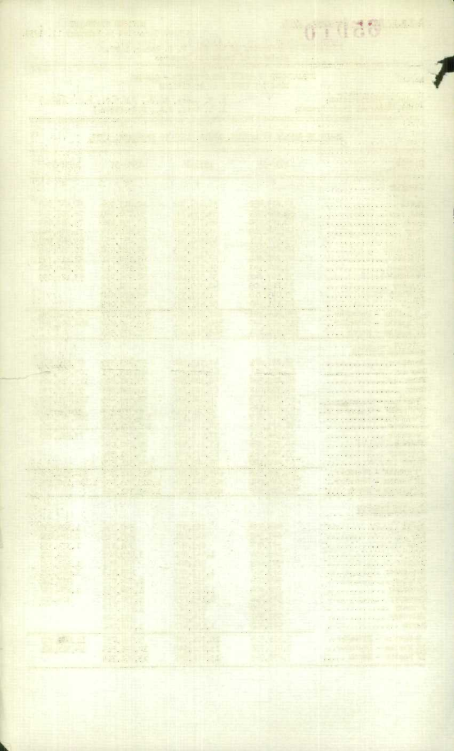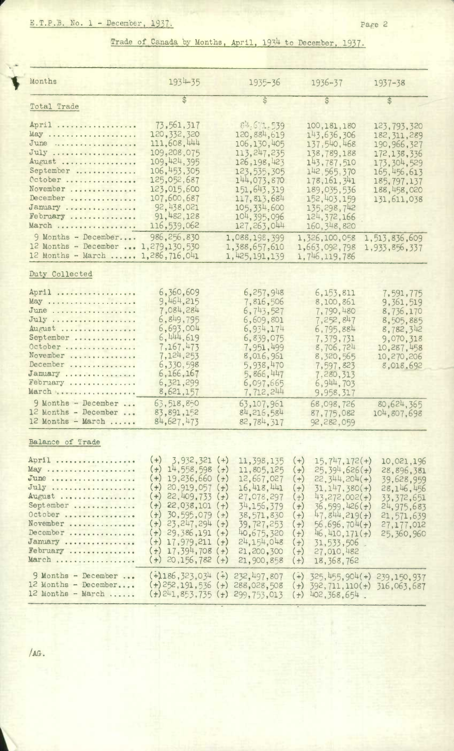## E.T.P.B. No. 1 - December, 1937.

Trade of Canada by Months, April, 1934 to December, 1937.

| Months                                                                                                                 | 1934-35                                                                                                                                                                                                                                                                                                                             | $1935 - 36$                                                                                                                                                                                                             | 1936-37                                                                                                                                                                                                                                                                                                                                 | $1937 - 38$                                                                                                                    |
|------------------------------------------------------------------------------------------------------------------------|-------------------------------------------------------------------------------------------------------------------------------------------------------------------------------------------------------------------------------------------------------------------------------------------------------------------------------------|-------------------------------------------------------------------------------------------------------------------------------------------------------------------------------------------------------------------------|-----------------------------------------------------------------------------------------------------------------------------------------------------------------------------------------------------------------------------------------------------------------------------------------------------------------------------------------|--------------------------------------------------------------------------------------------------------------------------------|
| Total Trade                                                                                                            | \$                                                                                                                                                                                                                                                                                                                                  | \$                                                                                                                                                                                                                      | \$                                                                                                                                                                                                                                                                                                                                      | \$                                                                                                                             |
| April                                                                                                                  | 73,561,317<br>120, 332, 320                                                                                                                                                                                                                                                                                                         | 84.671.539<br>120, 884, 619                                                                                                                                                                                             | 100, 181, 180<br>143,636,306                                                                                                                                                                                                                                                                                                            | 123, 793, 320<br>182, 311, 289                                                                                                 |
| June<br>July<br>August                                                                                                 | 111,608,444<br>109,208,075<br>109, 424, 395                                                                                                                                                                                                                                                                                         | 106.130,405<br>113, 247, 235<br>126, 198, 423                                                                                                                                                                           | 137, 540, 468<br>138,789,188<br>143,787,510                                                                                                                                                                                                                                                                                             | 190,966,327<br>172, 138, 336<br>173, 304, 529                                                                                  |
| September<br>Cotober                                                                                                   | 106, 453, 305<br>125,052.687                                                                                                                                                                                                                                                                                                        | 123, 535, 305<br>144,073,870                                                                                                                                                                                            | 142, 565, 370<br>178, 161, 341                                                                                                                                                                                                                                                                                                          | 165, 456, 613<br>185, 797, 137                                                                                                 |
| November<br>December<br>January<br>February<br>March                                                                   | 123,015,600<br>107,600,687<br>92, 438, 021<br>91, 482, 128<br>116, 539, 062                                                                                                                                                                                                                                                         | 151, 643, 319<br>117, 813, 684<br>105, 334, 600<br>104, 395, 096<br>127, 263, 044                                                                                                                                       | 189,035,536<br>152, 403, 159<br>135, 298, 742<br>124, 372, 166<br>160, 348, 820                                                                                                                                                                                                                                                         | 188,458,020<br>131, 611, 038                                                                                                   |
| 9 Months - December<br>12 Months - December<br>12 Months - March  1,286,716,041                                        | 986, 256, 830<br>1,279,130,530                                                                                                                                                                                                                                                                                                      | 1,088.198,399<br>1,388,657,610<br>1, 425, 191, 139                                                                                                                                                                      | 1,326,100,058<br>1,663,092,798<br>1,746,119,786                                                                                                                                                                                                                                                                                         | 1, 513, 836, 609<br>1,933,856,337                                                                                              |
| Duty Collected                                                                                                         |                                                                                                                                                                                                                                                                                                                                     |                                                                                                                                                                                                                         |                                                                                                                                                                                                                                                                                                                                         |                                                                                                                                |
| April<br>June<br>July<br>August<br>September<br>October<br>November                                                    | 6,360,609<br>9,464,215<br>7,084,284<br>6,849,795<br>6,693,004<br>6,444,619<br>7,167,473<br>7,124,253                                                                                                                                                                                                                                | 6,257,948<br>7,816,506<br>6,743,527<br>6,609,801<br>6,934,174<br>6,839,075<br>7,951,499<br>8,016,961                                                                                                                    | 6,153,811<br>8,100,861<br>7,790,480<br>7,252,847<br>6,795,884<br>7, 379, 731<br>8,706,724<br>8,320,565                                                                                                                                                                                                                                  | 7,591,775<br>9,361,519<br>8,736,170<br>8,505,885<br>8,782,342<br>9,070.318<br>10,287,458<br>10,270,206                         |
| December<br>January<br>February<br>March                                                                               | 6,330,598<br>6,166,167<br>6, 321, 299<br>8,621,157                                                                                                                                                                                                                                                                                  | 5,938,470<br>5,866,447<br>6,097,665<br>7,712,244                                                                                                                                                                        | 7,597,823<br>7.280,313<br>6,944,703<br>9,958,317                                                                                                                                                                                                                                                                                        | 8,018,692                                                                                                                      |
| 9 Months - December<br>12 Months - December<br>12 Months - March                                                       | 63,518,850<br>83,891,152<br>84, 627, 473                                                                                                                                                                                                                                                                                            | 63,107,961<br>84,216,584<br>82, 784, 317                                                                                                                                                                                | 68,098,726<br>87,775,082<br>92,282,059                                                                                                                                                                                                                                                                                                  | 80,624,365<br>104, 807, 698                                                                                                    |
| Balance of Trade                                                                                                       |                                                                                                                                                                                                                                                                                                                                     |                                                                                                                                                                                                                         |                                                                                                                                                                                                                                                                                                                                         |                                                                                                                                |
| April<br>May<br>June<br>July<br>August<br>September<br>October<br>November<br>December<br>January<br>February<br>March | $(+)$<br>$3,932,321$ (+)<br>$(+)$<br>$14,558,598$ (+)<br>$(+)$<br>$19,236,660$ ( $\pm$ )<br>$(+)$<br>$20,919,057$ (+)<br>$(+)$<br>$22,409,733$ (+)<br>$(+)$<br>22,038,101<br>$(+)$<br>30,595,079<br>$(+)$<br>23, 247, 294<br>$(+)$<br>29,386,191<br>$(+)$<br>17,979,211<br>$17,394,708$ (+)<br>$(+)$<br>$20, 156, 782$ (+)<br>$(+)$ | 11, 398, 135<br>11,805,125<br>12,667,027<br>16, 418, 441<br>27,078,297<br>$(+)$<br>34,156,379<br>$(+)$<br>38,571,830<br>$(+)$<br>39, 727, 253<br>40,675,320<br>$(+)$<br>24,154,048<br>$(+)$<br>21,200,300<br>21,900,858 | $(+)$<br>$15,747,172(+)$<br>$25,394,626(+)$<br>$(+)$<br>$22, 344, 204(+)$<br>$(+)$<br>$(+)$<br>$31, 147, 380(+)$<br>$(+)$<br>$43,272,002(+)$<br>$(+)$<br>$36,599,426(+)$<br>$47,844,219(+)$<br>$(+)$<br>$(+)$<br>$56,696,704(+)$<br>$(+)$<br>$46, 410, 171(+)$<br>$(+)$<br>31, 533, 506<br>27,010,482<br>$(+)$<br>18, 368, 762<br>$(+)$ | 10,021,196<br>28,896,381<br>39,628,959<br>28,146,456<br>33, 372, 651<br>24, 975, 683<br>21,571,639<br>27,177,012<br>25,360,960 |
| $9$ Months - December<br>12 Months - December<br>$12$ Months - March                                                   | $(+)186,323,034$ $(+)$<br>$(+)$ 252, 191, 536 $(+)$<br>$(+)$ 241, 853, 735 $(+)$                                                                                                                                                                                                                                                    | 232, 497, 807<br>288,028,508<br>299, 753, 013                                                                                                                                                                           | $(+)$ 325, 455, 904(+)<br>$(+)$<br>$392, 711, 110(+)$<br>402, 368, 654.<br>$(+)$                                                                                                                                                                                                                                                        | 239,150,937<br>316,063,687                                                                                                     |